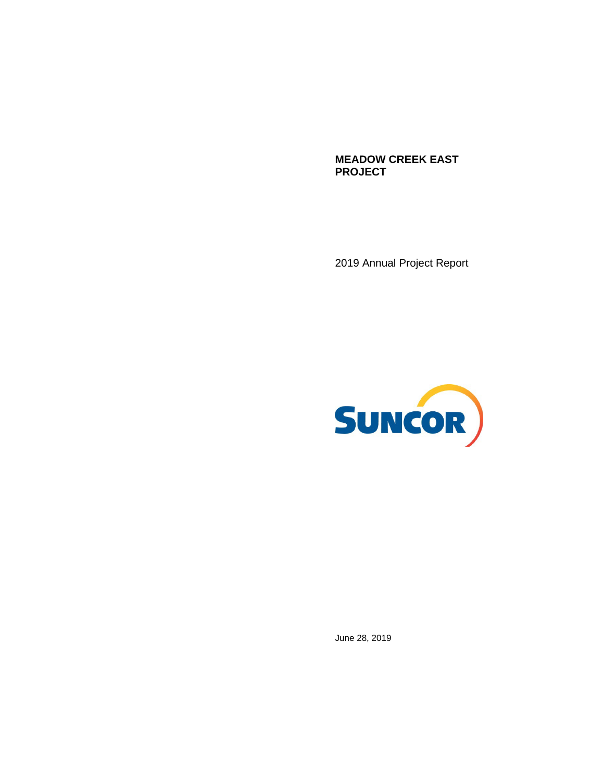**MEADOW CREEK EAST PROJECT** 

2019 Annual Project Report



June 28, 2019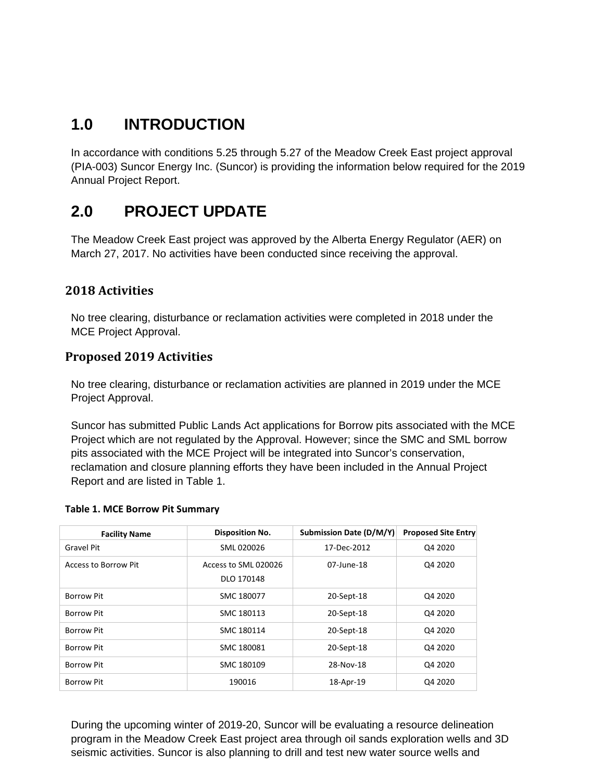## **1.0 INTRODUCTION**

In accordance with conditions 5.25 through 5.27 of the Meadow Creek East project approval (PIA-003) Suncor Energy Inc. (Suncor) is providing the information below required for the 2019 Annual Project Report.

### **2.0 PROJECT UPDATE**

The Meadow Creek East project was approved by the Alberta Energy Regulator (AER) on March 27, 2017. No activities have been conducted since receiving the approval.

### **2018 Activities**

No tree clearing, disturbance or reclamation activities were completed in 2018 under the MCE Project Approval.

### **Proposed 2019 Activities**

No tree clearing, disturbance or reclamation activities are planned in 2019 under the MCE Project Approval.

Suncor has submitted Public Lands Act applications for Borrow pits associated with the MCE Project which are not regulated by the Approval. However; since the SMC and SML borrow pits associated with the MCE Project will be integrated into Suncor's conservation, reclamation and closure planning efforts they have been included in the Annual Project Report and are listed in Table 1.

#### **Table 1. MCE Borrow Pit Summary**

| <b>Facility Name</b> | <b>Disposition No.</b> | <b>Submission Date (D/M/Y)</b> | <b>Proposed Site Entry</b> |
|----------------------|------------------------|--------------------------------|----------------------------|
| Gravel Pit           | SML 020026             | 17-Dec-2012                    | Q4 2020                    |
| Access to Borrow Pit | Access to SML 020026   | 07-June-18                     | Q4 2020                    |
|                      | DLO 170148             |                                |                            |
| <b>Borrow Pit</b>    | SMC 180077             | 20-Sept-18                     | Q4 2020                    |
| <b>Borrow Pit</b>    | SMC 180113             | 20-Sept-18                     | Q4 2020                    |
| <b>Borrow Pit</b>    | SMC 180114             | 20-Sept-18                     | Q4 2020                    |
| <b>Borrow Pit</b>    | SMC 180081             | 20-Sept-18                     | Q4 2020                    |
| Borrow Pit           | SMC 180109             | 28-Nov-18                      | Q4 2020                    |
| Borrow Pit           | 190016                 | 18-Apr-19                      | Q4 2020                    |

During the upcoming winter of 2019-20, Suncor will be evaluating a resource delineation program in the Meadow Creek East project area through oil sands exploration wells and 3D seismic activities. Suncor is also planning to drill and test new water source wells and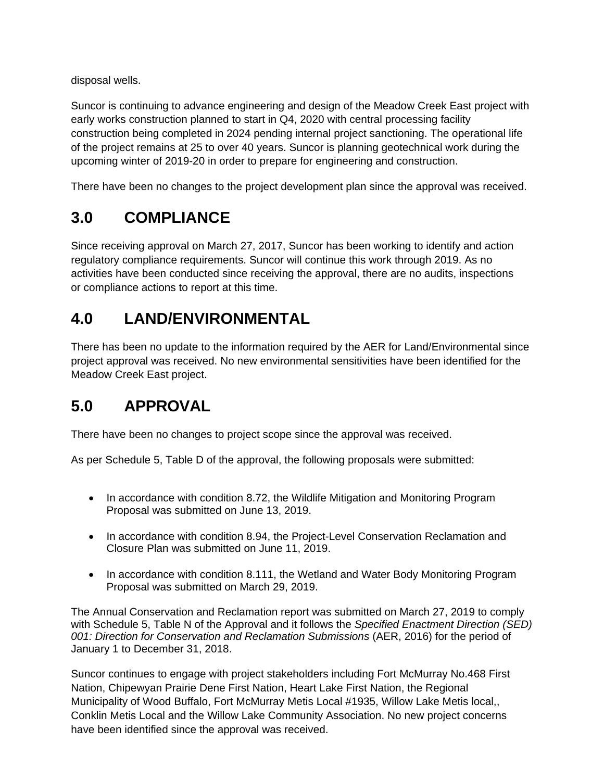disposal wells.

Suncor is continuing to advance engineering and design of the Meadow Creek East project with early works construction planned to start in Q4, 2020 with central processing facility construction being completed in 2024 pending internal project sanctioning. The operational life of the project remains at 25 to over 40 years. Suncor is planning geotechnical work during the upcoming winter of 2019-20 in order to prepare for engineering and construction.

There have been no changes to the project development plan since the approval was received.

## **3.0 COMPLIANCE**

Since receiving approval on March 27, 2017, Suncor has been working to identify and action regulatory compliance requirements. Suncor will continue this work through 2019. As no activities have been conducted since receiving the approval, there are no audits, inspections or compliance actions to report at this time.

## **4.0 LAND/ENVIRONMENTAL**

There has been no update to the information required by the AER for Land/Environmental since project approval was received. No new environmental sensitivities have been identified for the Meadow Creek East project.

# **5.0 APPROVAL**

There have been no changes to project scope since the approval was received.

As per Schedule 5, Table D of the approval, the following proposals were submitted:

- In accordance with condition 8.72, the Wildlife Mitigation and Monitoring Program Proposal was submitted on June 13, 2019.
- In accordance with condition 8.94, the Project-Level Conservation Reclamation and Closure Plan was submitted on June 11, 2019.
- In accordance with condition 8.111, the Wetland and Water Body Monitoring Program Proposal was submitted on March 29, 2019.

The Annual Conservation and Reclamation report was submitted on March 27, 2019 to comply with Schedule 5, Table N of the Approval and it follows the *Specified Enactment Direction (SED) 001: Direction for Conservation and Reclamation Submissions* (AER, 2016) for the period of January 1 to December 31, 2018.

Suncor continues to engage with project stakeholders including Fort McMurray No.468 First Nation, Chipewyan Prairie Dene First Nation, Heart Lake First Nation, the Regional Municipality of Wood Buffalo, Fort McMurray Metis Local #1935, Willow Lake Metis local,, Conklin Metis Local and the Willow Lake Community Association. No new project concerns have been identified since the approval was received.